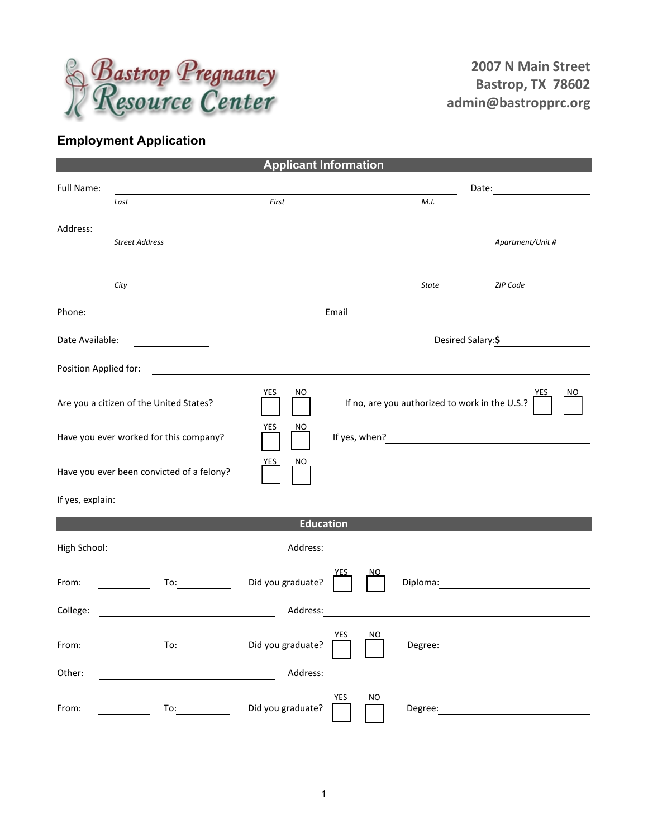

## **Employment Application**

| <b>Applicant Information</b> |                                                                                                                                                                                                                                |                   |                  |                                                |                                                                                                                      |  |  |
|------------------------------|--------------------------------------------------------------------------------------------------------------------------------------------------------------------------------------------------------------------------------|-------------------|------------------|------------------------------------------------|----------------------------------------------------------------------------------------------------------------------|--|--|
| Full Name:                   |                                                                                                                                                                                                                                |                   |                  |                                                |                                                                                                                      |  |  |
|                              | Last                                                                                                                                                                                                                           | First             |                  | M.I.                                           |                                                                                                                      |  |  |
| Address:                     |                                                                                                                                                                                                                                |                   |                  |                                                |                                                                                                                      |  |  |
|                              | <b>Street Address</b>                                                                                                                                                                                                          |                   |                  |                                                | Apartment/Unit #                                                                                                     |  |  |
|                              |                                                                                                                                                                                                                                |                   |                  |                                                |                                                                                                                      |  |  |
|                              | City                                                                                                                                                                                                                           |                   |                  | <b>State</b>                                   | ZIP Code                                                                                                             |  |  |
|                              |                                                                                                                                                                                                                                |                   |                  |                                                |                                                                                                                      |  |  |
| Phone:                       |                                                                                                                                                                                                                                |                   | Email            |                                                |                                                                                                                      |  |  |
| Date Available:              |                                                                                                                                                                                                                                |                   |                  |                                                | Desired Salary: \$                                                                                                   |  |  |
|                              |                                                                                                                                                                                                                                |                   |                  |                                                |                                                                                                                      |  |  |
| Position Applied for:        | <u> 1989 - Jan Samuel Barbara, martin d</u>                                                                                                                                                                                    |                   |                  |                                                |                                                                                                                      |  |  |
|                              | Are you a citizen of the United States?                                                                                                                                                                                        | YES<br>ΝO         |                  | If no, are you authorized to work in the U.S.? |                                                                                                                      |  |  |
|                              | Have you ever worked for this company?                                                                                                                                                                                         | <b>YES</b><br>NO  |                  |                                                |                                                                                                                      |  |  |
|                              | Have you ever been convicted of a felony?                                                                                                                                                                                      | <u>YES</u><br>NO. |                  |                                                |                                                                                                                      |  |  |
| If yes, explain:             |                                                                                                                                                                                                                                |                   |                  |                                                |                                                                                                                      |  |  |
| <b>Education</b>             |                                                                                                                                                                                                                                |                   |                  |                                                |                                                                                                                      |  |  |
|                              |                                                                                                                                                                                                                                |                   |                  |                                                |                                                                                                                      |  |  |
| High School:                 |                                                                                                                                                                                                                                | Address:          |                  |                                                | <u> 1989 - Andrea Station Barbara, politik eta provincia eta provincia eta provincia eta provincia eta provincia</u> |  |  |
| From:                        | To: the contract of the contract of the contract of the contract of the contract of the contract of the contract of the contract of the contract of the contract of the contract of the contract of the contract of the contra | Did you graduate? | NO               | Diploma:                                       |                                                                                                                      |  |  |
| College:                     |                                                                                                                                                                                                                                | Address:          |                  |                                                | <u> 1989 - Johann Barbara, martxa alemaniar arg</u>                                                                  |  |  |
| From:                        | To:                                                                                                                                                                                                                            | Did you graduate? | YES<br>NO        | Degree:                                        | <u> 1980 - Jan Samuel Barbara, politik eta politik eta politik eta politik eta politik eta politik eta politik e</u> |  |  |
| Other:                       |                                                                                                                                                                                                                                | Address:          |                  |                                                |                                                                                                                      |  |  |
| From:                        | To: $\qquad \qquad$                                                                                                                                                                                                            | Did you graduate? | YES<br><b>NO</b> |                                                | Degree: Note: Note: Note: Note: Note: Note: Note: Note: Note: Note: Note: Note: Note: Note: Note: No                 |  |  |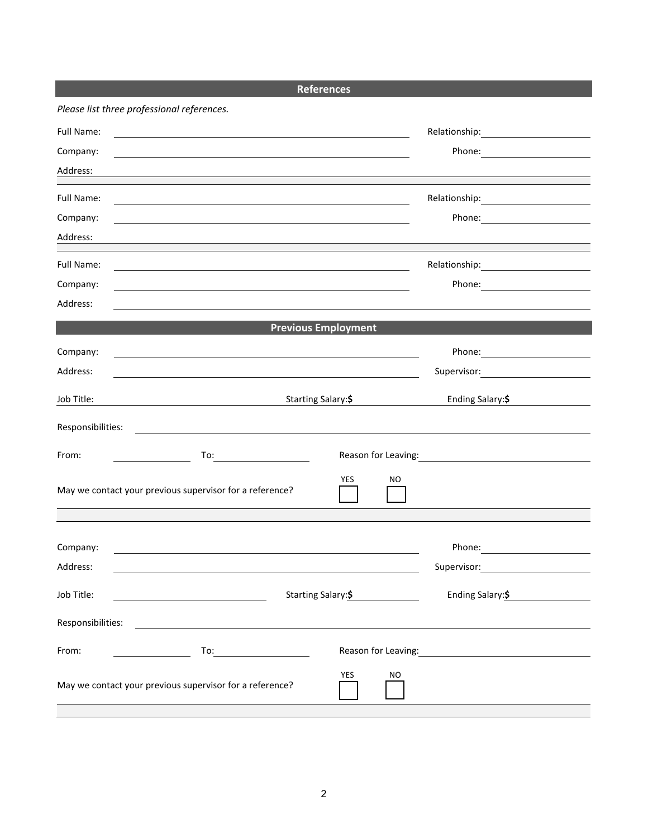| Please list three professional references.<br>Full Name:                                                                                                                                                                                    |                  |  |  |
|---------------------------------------------------------------------------------------------------------------------------------------------------------------------------------------------------------------------------------------------|------------------|--|--|
|                                                                                                                                                                                                                                             |                  |  |  |
| <u> 1980 - Andrea Stadt Britain, amerikansk politik (* 1950)</u>                                                                                                                                                                            |                  |  |  |
| Company:                                                                                                                                                                                                                                    |                  |  |  |
| Address:                                                                                                                                                                                                                                    |                  |  |  |
| Full Name:<br>the control of the control of the control of the control of the control of the control of the control of the control of the control of the control of the control of the control of the control of the control of the control |                  |  |  |
| Company:                                                                                                                                                                                                                                    | Phone: 2008      |  |  |
| Address:                                                                                                                                                                                                                                    |                  |  |  |
| Full Name:                                                                                                                                                                                                                                  |                  |  |  |
| Company:                                                                                                                                                                                                                                    |                  |  |  |
| Address:                                                                                                                                                                                                                                    |                  |  |  |
| <b>Previous Employment</b>                                                                                                                                                                                                                  |                  |  |  |
| Company:                                                                                                                                                                                                                                    | Phone: 2008      |  |  |
| Address:<br><u> 1990 - Jan James James Barnett, amerikansk politiker (d. 1980)</u>                                                                                                                                                          |                  |  |  |
| Starting Salary:\$<br>Job Title:                                                                                                                                                                                                            | Ending Salary:\$ |  |  |
| Responsibilities:<br><u> 1989 - Johann Barn, mars eta bat erroman erroman erroman erroman erroman erroman erroman erroman erroman err</u>                                                                                                   |                  |  |  |
| From:<br>To: $\qquad \qquad \qquad$                                                                                                                                                                                                         |                  |  |  |
| <b>YES</b><br>NO.<br>May we contact your previous supervisor for a reference?                                                                                                                                                               |                  |  |  |
|                                                                                                                                                                                                                                             |                  |  |  |
| Company:                                                                                                                                                                                                                                    | Phone:           |  |  |
| Address:                                                                                                                                                                                                                                    | Supervisor:      |  |  |
| Starting Salary:\$<br>Job Title:<br><u> 1980 - Johann Barnett, fransk politik (d. 1980)</u>                                                                                                                                                 | Ending Salary:\$ |  |  |
| Responsibilities:<br><u> 1980 - Andrea Station Barbara, actor a component de la componentación de la componentación de la componentaci</u>                                                                                                  |                  |  |  |
| From:<br>To: $\qquad \qquad$                                                                                                                                                                                                                |                  |  |  |
| YES<br>NO.<br>May we contact your previous supervisor for a reference?                                                                                                                                                                      |                  |  |  |